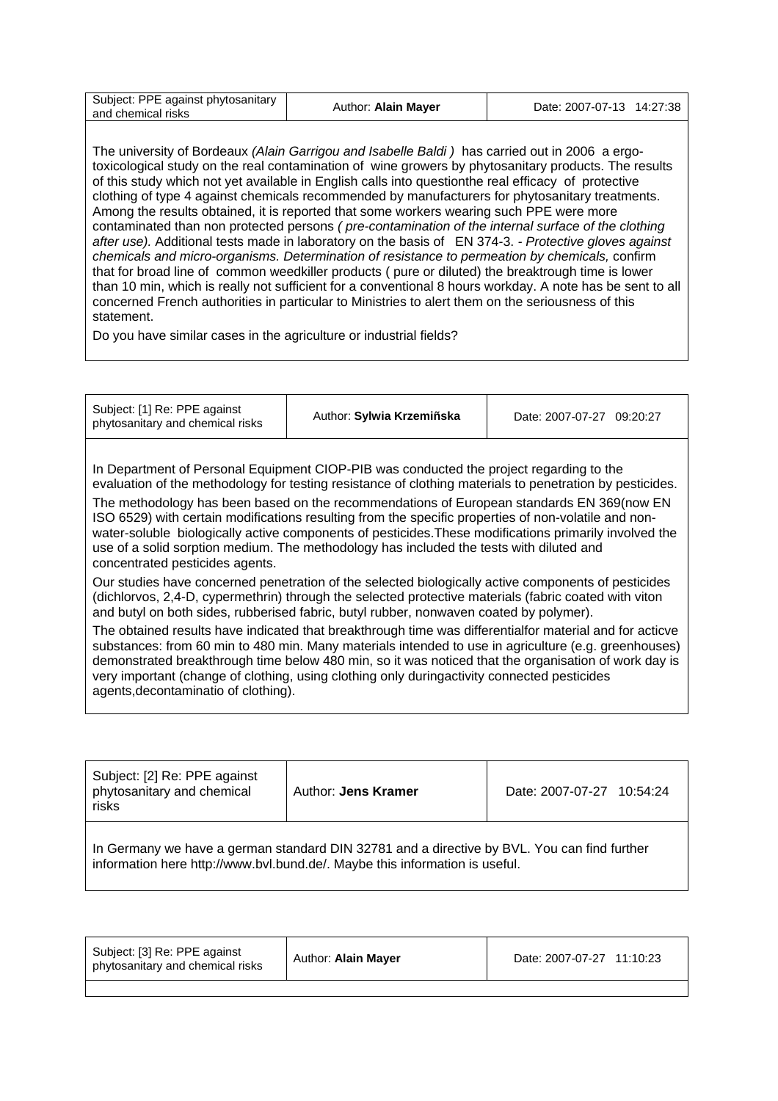| Subject: PPE against phytosanitary<br>Author: Alain Mayer<br>and chemical risks | Date: 2007-07-13 14:27:38 |
|---------------------------------------------------------------------------------|---------------------------|
|---------------------------------------------------------------------------------|---------------------------|

The university of Bordeaux *(Alain Garrigou and Isabelle Baldi )* has carried out in 2006 a ergotoxicological study on the real contamination of wine growers by phytosanitary products. The results of this study which not yet available in English calls into questionthe real efficacy of protective clothing of type 4 against chemicals recommended by manufacturers for phytosanitary treatments. Among the results obtained, it is reported that some workers wearing such PPE were more contaminated than non protected persons *( pre-contamination of the internal surface of the clothing after use).* Additional tests made in laboratory on the basis of EN 374-3. *- Protective gloves against chemicals and micro-organisms. Determination of resistance to permeation by chemicals,* confirm that for broad line of common weedkiller products ( pure or diluted) the breaktrough time is lower than 10 min, which is really not sufficient for a conventional 8 hours workday. A note has be sent to all concerned French authorities in particular to Ministries to alert them on the seriousness of this statement.

Do you have similar cases in the agriculture or industrial fields?

| Subject: [1] Re: PPE against<br>phytosanitary and chemical risks                                                                                                                                                                                                                                                                                                                                                                                                                                                                                                                                                                                 | Author: Sylwia Krzemiñska | Date: 2007-07-27 09:20:27 |  |  |
|--------------------------------------------------------------------------------------------------------------------------------------------------------------------------------------------------------------------------------------------------------------------------------------------------------------------------------------------------------------------------------------------------------------------------------------------------------------------------------------------------------------------------------------------------------------------------------------------------------------------------------------------------|---------------------------|---------------------------|--|--|
| In Department of Personal Equipment CIOP-PIB was conducted the project regarding to the<br>evaluation of the methodology for testing resistance of clothing materials to penetration by pesticides.<br>The methodology has been based on the recommendations of European standards EN 369(now EN<br>ISO 6529) with certain modifications resulting from the specific properties of non-volatile and non-<br>water-soluble biologically active components of pesticides. These modifications primarily involved the<br>use of a solid sorption medium. The methodology has included the tests with diluted and<br>concentrated pesticides agents. |                           |                           |  |  |
| Our studies have concerned penetration of the selected biologically active components of pesticides<br>(dichlorvos, 2,4-D, cypermethrin) through the selected protective materials (fabric coated with viton<br>and butyl on both sides, rubberised fabric, butyl rubber, nonwaven coated by polymer).                                                                                                                                                                                                                                                                                                                                           |                           |                           |  |  |
| The obtained results have indicated that breakthrough time was differentialfor material and for acticve<br>substances: from 60 min to 480 min. Many materials intended to use in agriculture (e.g. greenhouses)<br>demonstrated breakthrough time below 480 min, so it was noticed that the organisation of work day is<br>very important (change of clothing, using clothing only duringactivity connected pesticides<br>agents, decontaminatio of clothing).                                                                                                                                                                                   |                           |                           |  |  |

| Subject: [2] Re: PPE against<br>phytosanitary and chemical<br>risks                                                                                                        | Author: Jens Kramer | Date: 2007-07-27 10:54:24 |  |  |
|----------------------------------------------------------------------------------------------------------------------------------------------------------------------------|---------------------|---------------------------|--|--|
| In Germany we have a german standard DIN 32781 and a directive by BVL. You can find further<br>information here http://www.bvl.bund.de/. Maybe this information is useful. |                     |                           |  |  |

| Author: Alain Mayer<br>Date: 2007-07-27 11:10:23<br>phytosanitary and chemical risks |
|--------------------------------------------------------------------------------------|
|--------------------------------------------------------------------------------------|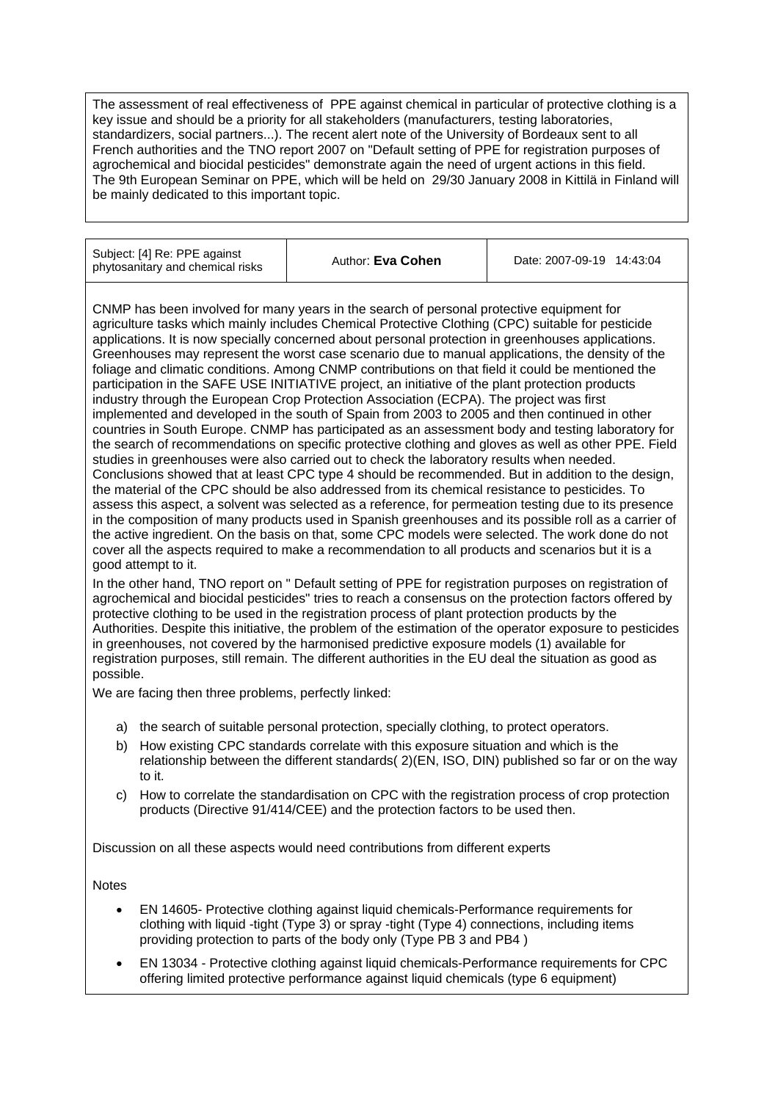The assessment of real effectiveness of PPE against chemical in particular of protective clothing is a key issue and should be a priority for all stakeholders (manufacturers, testing laboratories, standardizers, social partners...). The recent alert note of the University of Bordeaux sent to all French authorities and the TNO report 2007 on "Default setting of PPE for registration purposes of agrochemical and biocidal pesticides" demonstrate again the need of urgent actions in this field. The 9th European Seminar on PPE, which will be held on 29/30 January 2008 in Kittilä in Finland will be mainly dedicated to this important topic.

| Subject: [4] Re: PPE against<br>phytosanitary and chemical risks | Author: Eva Cohen | Date: 2007-09-19 14:43:04 |
|------------------------------------------------------------------|-------------------|---------------------------|
|------------------------------------------------------------------|-------------------|---------------------------|

CNMP has been involved for many years in the search of personal protective equipment for agriculture tasks which mainly includes Chemical Protective Clothing (CPC) suitable for pesticide applications. It is now specially concerned about personal protection in greenhouses applications. Greenhouses may represent the worst case scenario due to manual applications, the density of the foliage and climatic conditions. Among CNMP contributions on that field it could be mentioned the participation in the SAFE USE INITIATIVE project, an initiative of the plant protection products industry through the European Crop Protection Association (ECPA). The project was first implemented and developed in the south of Spain from 2003 to 2005 and then continued in other countries in South Europe. CNMP has participated as an assessment body and testing laboratory for the search of recommendations on specific protective clothing and gloves as well as other PPE. Field studies in greenhouses were also carried out to check the laboratory results when needed. Conclusions showed that at least CPC type 4 should be recommended. But in addition to the design, the material of the CPC should be also addressed from its chemical resistance to pesticides. To assess this aspect, a solvent was selected as a reference, for permeation testing due to its presence in the composition of many products used in Spanish greenhouses and its possible roll as a carrier of the active ingredient. On the basis on that, some CPC models were selected. The work done do not cover all the aspects required to make a recommendation to all products and scenarios but it is a good attempt to it.

In the other hand, TNO report on " Default setting of PPE for registration purposes on registration of agrochemical and biocidal pesticides" tries to reach a consensus on the protection factors offered by protective clothing to be used in the registration process of plant protection products by the Authorities. Despite this initiative, the problem of the estimation of the operator exposure to pesticides in greenhouses, not covered by the harmonised predictive exposure models (1) available for registration purposes, still remain. The different authorities in the EU deal the situation as good as possible.

We are facing then three problems, perfectly linked:

- a) the search of suitable personal protection, specially clothing, to protect operators.
- b) How existing CPC standards correlate with this exposure situation and which is the relationship between the different standards( 2)(EN, ISO, DIN) published so far or on the way to it.
- c) How to correlate the standardisation on CPC with the registration process of crop protection products (Directive 91/414/CEE) and the protection factors to be used then.

Discussion on all these aspects would need contributions from different experts

**Notes** 

- EN 14605- Protective clothing against liquid chemicals-Performance requirements for clothing with liquid -tight (Type 3) or spray -tight (Type 4) connections, including items providing protection to parts of the body only (Type PB 3 and PB4 )
- EN 13034 Protective clothing against liquid chemicals-Performance requirements for CPC offering limited protective performance against liquid chemicals (type 6 equipment)